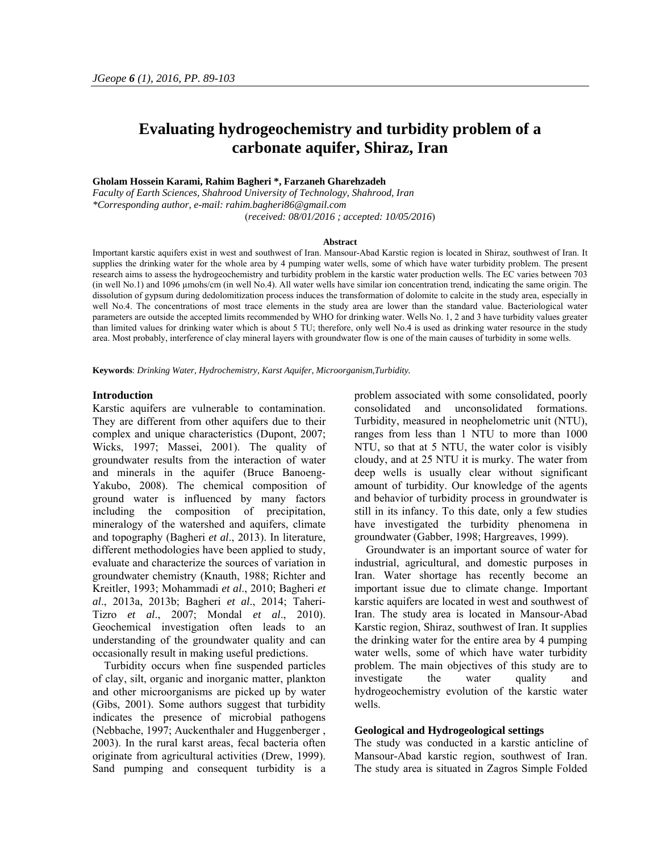# **Evaluating hydrogeochemistry and turbidity problem of a carbonate aquifer, Shiraz, Iran**

# **Gholam Hossein Karami, Rahim Bagheri \*, Farzaneh Gharehzadeh**

*Faculty of Earth Sciences, Shahrood University of Technology, Shahrood, Iran \*Corresponding author, e-mail: rahim.bagheri86@gmail.com*  (*received: 08/01/2016 ; accepted: 10/05/2016*)

#### **Abstract**

Important karstic aquifers exist in west and southwest of Iran. Mansour-Abad Karstic region is located in Shiraz, southwest of Iran. It supplies the drinking water for the whole area by 4 pumping water wells, some of which have water turbidity problem. The present research aims to assess the hydrogeochemistry and turbidity problem in the karstic water production wells. The EC varies between 703 (in well No.1) and 1096 µmohs/cm (in well No.4). All water wells have similar ion concentration trend, indicating the same origin. The dissolution of gypsum during dedolomitization process induces the transformation of dolomite to calcite in the study area, especially in well No.4. The concentrations of most trace elements in the study area are lower than the standard value. Bacteriological water parameters are outside the accepted limits recommended by WHO for drinking water. Wells No. 1, 2 and 3 have turbidity values greater than limited values for drinking water which is about 5 TU; therefore, only well No.4 is used as drinking water resource in the study area. Most probably, interference of clay mineral layers with groundwater flow is one of the main causes of turbidity in some wells.

**Keywords**: *Drinking Water, Hydrochemistry, Karst Aquifer, Microorganism,Turbidity.* 

# **Introduction**

Karstic aquifers are vulnerable to contamination. They are different from other aquifers due to their complex and unique characteristics (Dupont, 2007; Wicks, 1997; Massei, 2001). The quality of groundwater results from the interaction of water and minerals in the aquifer (Bruce Banoeng-Yakubo, 2008). The chemical composition of ground water is influenced by many factors including the composition of precipitation, mineralogy of the watershed and aquifers, climate and topography (Bagheri *et al*., 2013). In literature, different methodologies have been applied to study, evaluate and characterize the sources of variation in groundwater chemistry (Knauth, 1988; Richter and Kreitler, 1993; Mohammadi *et al*., 2010; Bagheri *et al*., 2013a, 2013b; Bagheri *et al*., 2014; Taheri-Tizro *et al*., 2007; Mondal *et al*., 2010). Geochemical investigation often leads to an understanding of the groundwater quality and can occasionally result in making useful predictions.

Turbidity occurs when fine suspended particles of clay, silt, organic and inorganic matter, plankton and other microorganisms are picked up by water (Gibs, 2001). Some authors suggest that turbidity indicates the presence of microbial pathogens (Nebbache, 1997; Auckenthaler and Huggenberger , 2003). In the rural karst areas, fecal bacteria often originate from agricultural activities (Drew, 1999). Sand pumping and consequent turbidity is a problem associated with some consolidated, poorly consolidated and unconsolidated formations. Turbidity, measured in neophelometric unit (NTU), ranges from less than 1 NTU to more than 1000 NTU, so that at 5 NTU, the water color is visibly cloudy, and at 25 NTU it is murky. The water from deep wells is usually clear without significant amount of turbidity. Our knowledge of the agents and behavior of turbidity process in groundwater is still in its infancy. To this date, only a few studies have investigated the turbidity phenomena in groundwater (Gabber, 1998; Hargreaves, 1999).

Groundwater is an important source of water for industrial, agricultural, and domestic purposes in Iran. Water shortage has recently become an important issue due to climate change. Important karstic aquifers are located in west and southwest of Iran. The study area is located in Mansour-Abad Karstic region, Shiraz, southwest of Iran. It supplies the drinking water for the entire area by 4 pumping water wells, some of which have water turbidity problem. The main objectives of this study are to investigate the water quality and hydrogeochemistry evolution of the karstic water wells.

#### **Geological and Hydrogeological settings**

The study was conducted in a karstic anticline of Mansour-Abad karstic region, southwest of Iran. The study area is situated in Zagros Simple Folded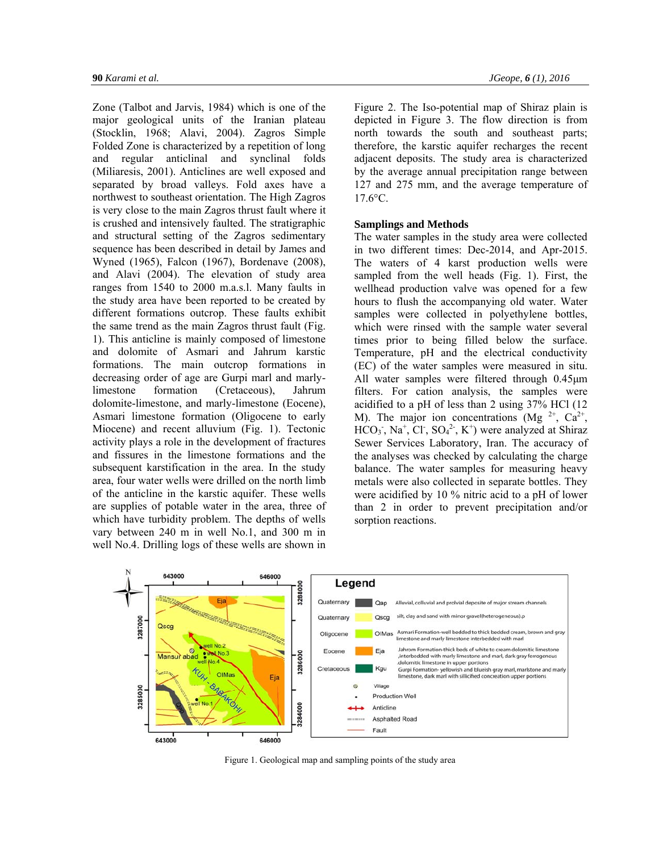Zone (Talbot and Jarvis, 1984) which is one of the major geological units of the Iranian plateau (Stocklin, 1968; Alavi, 2004). Zagros Simple Folded Zone is characterized by a repetition of long and regular anticlinal and synclinal folds (Miliaresis, 2001). Anticlines are well exposed and separated by broad valleys. Fold axes have a northwest to southeast orientation. The High Zagros is very close to the main Zagros thrust fault where it is crushed and intensively faulted. The stratigraphic and structural setting of the Zagros sedimentary sequence has been described in detail by James and Wyned (1965), Falcon (1967), Bordenave (2008), and Alavi (2004). The elevation of study area ranges from 1540 to 2000 m.a.s.l. Many faults in the study area have been reported to be created by different formations outcrop. These faults exhibit the same trend as the main Zagros thrust fault (Fig. 1). This anticline is mainly composed of limestone and dolomite of Asmari and Jahrum karstic formations. The main outcrop formations in decreasing order of age are Gurpi marl and marlylimestone formation (Cretaceous), Jahrum dolomite-limestone, and marly-limestone (Eocene), Asmari limestone formation (Oligocene to early Miocene) and recent alluvium (Fig. 1). Tectonic activity plays a role in the development of fractures and fissures in the limestone formations and the subsequent karstification in the area. In the study area, four water wells were drilled on the north limb of the anticline in the karstic aquifer. These wells are supplies of potable water in the area, three of which have turbidity problem. The depths of wells vary between 240 m in well No.1, and 300 m in well No.4. Drilling logs of these wells are shown in Figure 2. The Iso-potential map of Shiraz plain is depicted in Figure 3. The flow direction is from north towards the south and southeast parts; therefore, the karstic aquifer recharges the recent adjacent deposits. The study area is characterized by the average annual precipitation range between 127 and 275 mm, and the average temperature of  $17.6$ °C.

# **Samplings and Methods**

The water samples in the study area were collected in two different times: Dec-2014, and Apr-2015. The waters of 4 karst production wells were sampled from the well heads (Fig. 1). First, the wellhead production valve was opened for a few hours to flush the accompanying old water. Water samples were collected in polyethylene bottles, which were rinsed with the sample water several times prior to being filled below the surface. Temperature, pH and the electrical conductivity (EC) of the water samples were measured in situ. All water samples were filtered through 0.45μm filters. For cation analysis, the samples were acidified to a pH of less than 2 using 37% HCl (12 M). The major ion concentrations (Mg  $^{2+}$ , Ca<sup>2+</sup>,  $HCO<sub>3</sub>$ , Na<sup>+</sup>, Cl<sup>-</sup>, SO<sub>4</sub><sup>2</sup>, K<sup>+</sup>) were analyzed at Shiraz Sewer Services Laboratory, Iran. The accuracy of the analyses was checked by calculating the charge balance. The water samples for measuring heavy metals were also collected in separate bottles. They were acidified by 10 % nitric acid to a pH of lower than 2 in order to prevent precipitation and/or sorption reactions.



Figure 1. Geological map and sampling points of the study area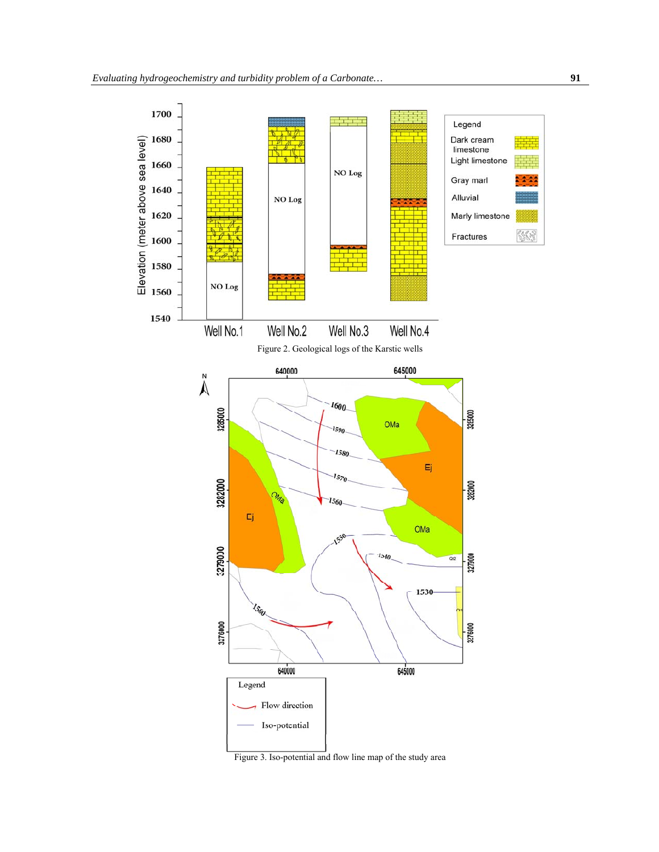

Figure 3. Iso-potential and flow line map of the study area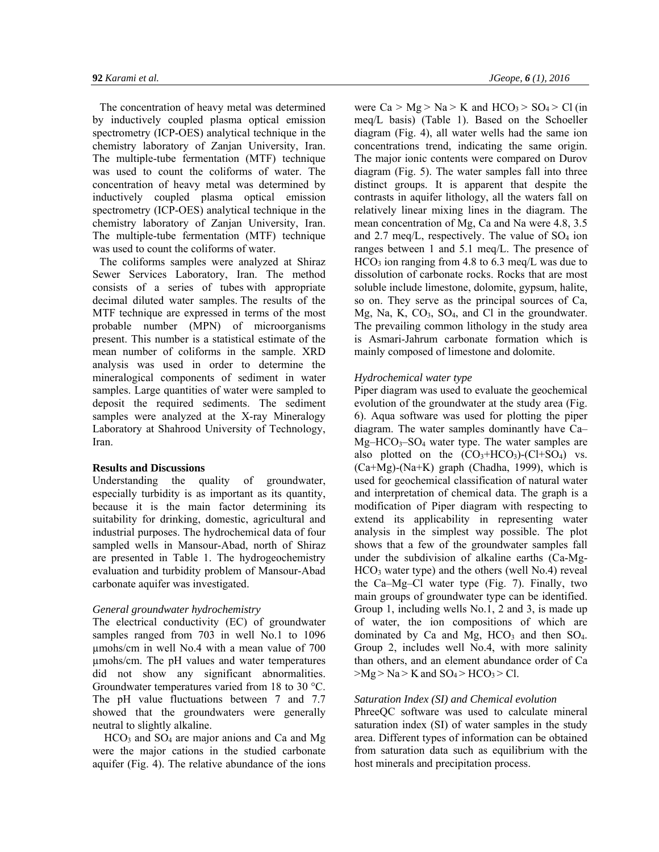The concentration of heavy metal was determined by inductively coupled plasma optical emission spectrometry (ICP-OES) analytical technique in the chemistry laboratory of Zanjan University, Iran. The multiple-tube fermentation (MTF) technique was used to count the coliforms of water. The concentration of heavy metal was determined by inductively coupled plasma optical emission spectrometry (ICP-OES) analytical technique in the chemistry laboratory of Zanjan University, Iran. The multiple-tube fermentation (MTF) technique was used to count the coliforms of water.

The coliforms samples were analyzed at Shiraz Sewer Services Laboratory, Iran. The method consists of a series of tubes with appropriate decimal diluted water samples. The results of the MTF technique are expressed in terms of the most probable number (MPN) of microorganisms present. This number is a statistical estimate of the mean number of coliforms in the sample. XRD analysis was used in order to determine the mineralogical components of sediment in water samples. Large quantities of water were sampled to deposit the required sediments. The sediment samples were analyzed at the X-ray Mineralogy Laboratory at Shahrood University of Technology, Iran.

# **Results and Discussions**

Understanding the quality of groundwater, especially turbidity is as important as its quantity, because it is the main factor determining its suitability for drinking, domestic, agricultural and industrial purposes. The hydrochemical data of four sampled wells in Mansour-Abad, north of Shiraz are presented in Table 1. The hydrogeochemistry evaluation and turbidity problem of Mansour-Abad carbonate aquifer was investigated.

# *General groundwater hydrochemistry*

The electrical conductivity (EC) of groundwater samples ranged from 703 in well No.1 to 1096 µmohs/cm in well No.4 with a mean value of 700 µmohs/cm. The pH values and water temperatures did not show any significant abnormalities. Groundwater temperatures varied from 18 to 30 °C. The pH value fluctuations between 7 and 7.7 showed that the groundwaters were generally neutral to slightly alkaline.

 $HCO<sub>3</sub>$  and  $SO<sub>4</sub>$  are major anions and Ca and Mg were the major cations in the studied carbonate aquifer (Fig. 4). The relative abundance of the ions were  $Ca > Mg > Na > K$  and  $HCO<sub>3</sub> > SO<sub>4</sub> > Cl$  (in meq/L basis) (Table 1). Based on the Schoeller diagram (Fig. 4), all water wells had the same ion concentrations trend, indicating the same origin. The major ionic contents were compared on Durov diagram (Fig. 5). The water samples fall into three distinct groups. It is apparent that despite the contrasts in aquifer lithology, all the waters fall on relatively linear mixing lines in the diagram. The mean concentration of Mg, Ca and Na were 4.8, 3.5 and  $2.7 \text{ meg/L}$ , respectively. The value of  $SO_4$  ion ranges between 1 and 5.1 meq/L. The presence of  $HCO<sub>3</sub>$  ion ranging from 4.8 to 6.3 meq/L was due to dissolution of carbonate rocks. Rocks that are most soluble include limestone, dolomite, gypsum, halite, so on. They serve as the principal sources of Ca, Mg, Na, K, CO<sub>3</sub>, SO<sub>4</sub>, and Cl in the groundwater. The prevailing common lithology in the study area is Asmari-Jahrum carbonate formation which is mainly composed of limestone and dolomite.

## *Hydrochemical water type*

Piper diagram was used to evaluate the geochemical evolution of the groundwater at the study area (Fig. 6). Aqua software was used for plotting the piper diagram. The water samples dominantly have Ca–  $Mg-HCO<sub>3</sub>-SO<sub>4</sub>$  water type. The water samples are also plotted on the  $(CO_3+HCO_3)-(Cl+SO_4)$  vs. (Ca+Mg)-(Na+K) graph (Chadha, 1999), which is used for geochemical classification of natural water and interpretation of chemical data. The graph is a modification of Piper diagram with respecting to extend its applicability in representing water analysis in the simplest way possible. The plot shows that a few of the groundwater samples fall under the subdivision of alkaline earths (Ca-Mg- $HCO<sub>3</sub>$  water type) and the others (well No.4) reveal the Ca–Mg–Cl water type (Fig. 7). Finally, two main groups of groundwater type can be identified. Group 1, including wells No.1, 2 and 3, is made up of water, the ion compositions of which are dominated by Ca and Mg,  $HCO<sub>3</sub>$  and then  $SO<sub>4</sub>$ . Group 2, includes well No.4, with more salinity than others, and an element abundance order of Ca  $>Mg > Na > K$  and  $SO_4 > HCO_3 > Cl$ .

# *Saturation Index (SI) and Chemical evolution*

PhreeQC software was used to calculate mineral saturation index (SI) of water samples in the study area. Different types of information can be obtained from saturation data such as equilibrium with the host minerals and precipitation process.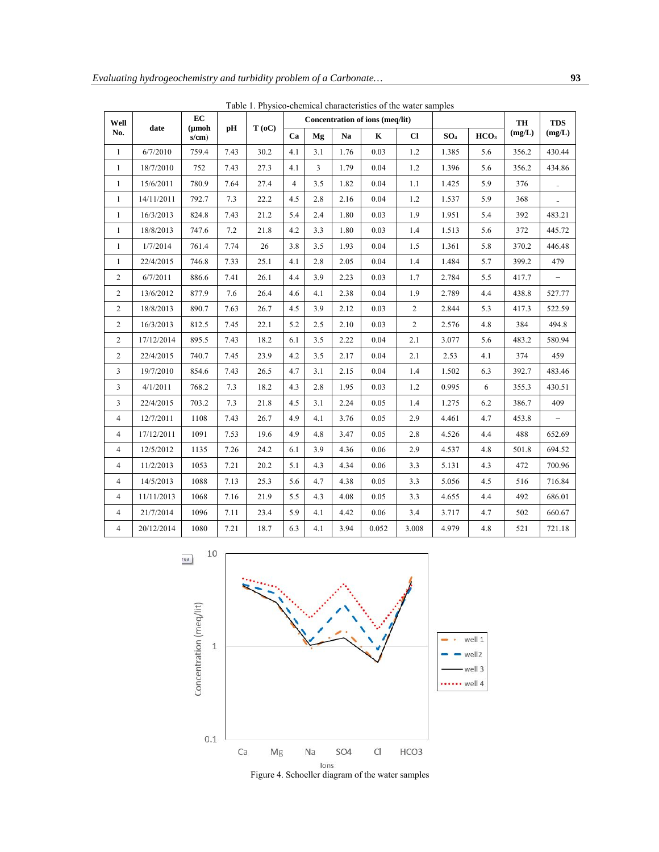| Well           |            | EC                       | pH   | T(0C) | Concentration of ions (meg/lit) |                |      |             |                |                 | <b>TH</b>        | <b>TDS</b> |                          |
|----------------|------------|--------------------------|------|-------|---------------------------------|----------------|------|-------------|----------------|-----------------|------------------|------------|--------------------------|
| No.            | date       | $(\mu \bmod$<br>$s/cm$ ) |      |       | Ca                              | Mg             | Na   | $\mathbf K$ | $_{\rm Cl}$    | SO <sub>4</sub> | HCO <sub>3</sub> | (mg/L)     | (mg/L)                   |
| $\mathbf{1}$   | 6/7/2010   | 759.4                    | 7.43 | 30.2  | 4.1                             | 3.1            | 1.76 | 0.03        | 1.2            | 1.385           | 5.6              | 356.2      | 430.44                   |
| $\mathbf{1}$   | 18/7/2010  | 752                      | 7.43 | 27.3  | 4.1                             | $\overline{3}$ | 1.79 | 0.04        | 1.2            | 1.396           | 5.6              | 356.2      | 434.86                   |
| $\mathbf{1}$   | 15/6/2011  | 780.9                    | 7.64 | 27.4  | $\overline{4}$                  | 3.5            | 1.82 | 0.04        | 1.1            | 1.425           | 5.9              | 376        | $\overline{\phantom{a}}$ |
| 1              | 14/11/2011 | 792.7                    | 7.3  | 22.2  | 4.5                             | 2.8            | 2.16 | 0.04        | 1.2            | 1.537           | 5.9              | 368        |                          |
| $\mathbf{1}$   | 16/3/2013  | 824.8                    | 7.43 | 21.2  | 5.4                             | 2.4            | 1.80 | 0.03        | 1.9            | 1.951           | 5.4              | 392        | 483.21                   |
| $\mathbf{1}$   | 18/8/2013  | 747.6                    | 7.2  | 21.8  | 4.2                             | 3.3            | 1.80 | 0.03        | 1.4            | 1.513           | 5.6              | 372        | 445.72                   |
| $\mathbf{1}$   | 1/7/2014   | 761.4                    | 7.74 | 26    | 3.8                             | 3.5            | 1.93 | 0.04        | 1.5            | 1.361           | 5.8              | 370.2      | 446.48                   |
| $\mathbf{1}$   | 22/4/2015  | 746.8                    | 7.33 | 25.1  | 4.1                             | 2.8            | 2.05 | 0.04        | 1.4            | 1.484           | 5.7              | 399.2      | 479                      |
| 2              | 6/7/2011   | 886.6                    | 7.41 | 26.1  | 4.4                             | 3.9            | 2.23 | 0.03        | 1.7            | 2.784           | 5.5              | 417.7      | $\overline{\phantom{0}}$ |
| $\mathbf{2}$   | 13/6/2012  | 877.9                    | 7.6  | 26.4  | 4.6                             | 4.1            | 2.38 | 0.04        | 1.9            | 2.789           | 4.4              | 438.8      | 527.77                   |
| $\overline{2}$ | 18/8/2013  | 890.7                    | 7.63 | 26.7  | 4.5                             | 3.9            | 2.12 | 0.03        | $\overline{2}$ | 2.844           | 5.3              | 417.3      | 522.59                   |
| $\mathbf{2}$   | 16/3/2013  | 812.5                    | 7.45 | 22.1  | 5.2                             | 2.5            | 2.10 | 0.03        | $\overline{2}$ | 2.576           | 4.8              | 384        | 494.8                    |
| $\mathbf{2}$   | 17/12/2014 | 895.5                    | 7.43 | 18.2  | 6.1                             | 3.5            | 2.22 | 0.04        | 2.1            | 3.077           | 5.6              | 483.2      | 580.94                   |
| $\mathbf{2}$   | 22/4/2015  | 740.7                    | 7.45 | 23.9  | 4.2                             | 3.5            | 2.17 | 0.04        | 2.1            | 2.53            | 4.1              | 374        | 459                      |
| 3              | 19/7/2010  | 854.6                    | 7.43 | 26.5  | 4.7                             | 3.1            | 2.15 | 0.04        | 1.4            | 1.502           | 6.3              | 392.7      | 483.46                   |
| 3              | 4/1/2011   | 768.2                    | 7.3  | 18.2  | 4.3                             | 2.8            | 1.95 | 0.03        | 1.2            | 0.995           | 6                | 355.3      | 430.51                   |
| 3              | 22/4/2015  | 703.2                    | 7.3  | 21.8  | 4.5                             | 3.1            | 2.24 | 0.05        | 1.4            | 1.275           | 6.2              | 386.7      | 409                      |
| 4              | 12/7/2011  | 1108                     | 7.43 | 26.7  | 4.9                             | 4.1            | 3.76 | 0.05        | 2.9            | 4.461           | 4.7              | 453.8      | $\overline{\phantom{0}}$ |
| $\overline{4}$ | 17/12/2011 | 1091                     | 7.53 | 19.6  | 4.9                             | 4.8            | 3.47 | 0.05        | 2.8            | 4.526           | 4.4              | 488        | 652.69                   |
| 4              | 12/5/2012  | 1135                     | 7.26 | 24.2  | 6.1                             | 3.9            | 4.36 | 0.06        | 2.9            | 4.537           | 4.8              | 501.8      | 694.52                   |
| $\overline{4}$ | 11/2/2013  | 1053                     | 7.21 | 20.2  | 5.1                             | 4.3            | 4.34 | 0.06        | 3.3            | 5.131           | 4.3              | 472        | 700.96                   |
| $\overline{4}$ | 14/5/2013  | 1088                     | 7.13 | 25.3  | 5.6                             | 4.7            | 4.38 | 0.05        | 3.3            | 5.056           | 4.5              | 516        | 716.84                   |
| $\overline{4}$ | 11/11/2013 | 1068                     | 7.16 | 21.9  | 5.5                             | 4.3            | 4.08 | 0.05        | 3.3            | 4.655           | 4.4              | 492        | 686.01                   |
| 4              | 21/7/2014  | 1096                     | 7.11 | 23.4  | 5.9                             | 4.1            | 4.42 | 0.06        | 3.4            | 3.717           | 4.7              | 502        | 660.67                   |
| $\overline{4}$ | 20/12/2014 | 1080                     | 7.21 | 18.7  | 6.3                             | 4.1            | 3.94 | 0.052       | 3.008          | 4.979           | 4.8              | 521        | 721.18                   |

Table 1. Physico-chemical characteristics of the water samples

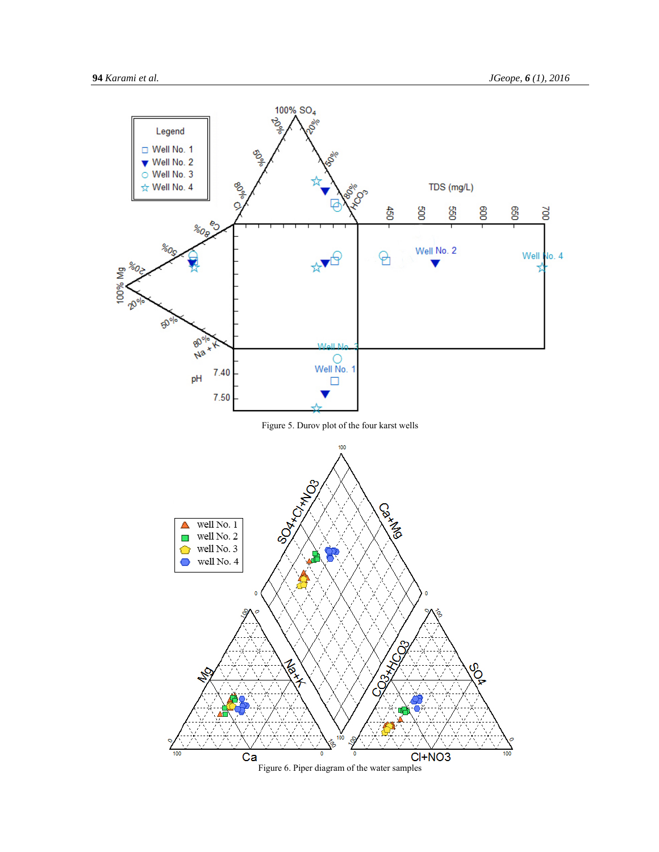

Figure 6. Piper diagram of the water samples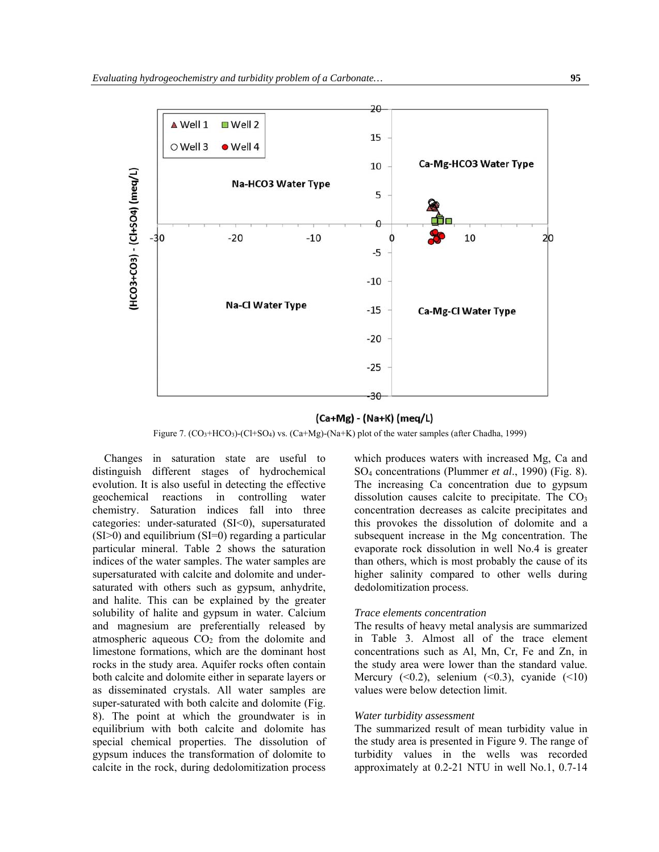

## (Ca+Mg) - (Na+K) (meq/L)

Figure 7.  $(CO_3+HCO_3)-(Cl+SO_4)$  vs.  $(Ca+Mg)-(Na+K)$  plot of the water samples (after Chadha, 1999)

Changes in saturation state are useful to distinguish different stages of hydrochemical evolution. It is also useful in detecting the effective geochemical reactions in controlling water chemistry. Saturation indices fall into three categories: under-saturated (SI<0), supersaturated (SI>0) and equilibrium (SI=0) regarding a particular particular mineral. Table 2 shows the saturation indices of the water samples. The water samples are supersaturated with calcite and dolomite and undersaturated with others such as gypsum, anhydrite, and halite. This can be explained by the greater solubility of halite and gypsum in water. Calcium and magnesium are preferentially released by atmospheric aqueous  $CO<sub>2</sub>$  from the dolomite and limestone formations, which are the dominant host rocks in the study area. Aquifer rocks often contain both calcite and dolomite either in separate layers or as disseminated crystals. All water samples are super-saturated with both calcite and dolomite (Fig. 8). The point at which the groundwater is in equilibrium with both calcite and dolomite has special chemical properties. The dissolution of gypsum induces the transformation of dolomite to calcite in the rock, during dedolomitization process which produces waters with increased Mg, Ca and SO4 concentrations (Plummer *et al*., 1990) (Fig. 8). The increasing Ca concentration due to gypsum dissolution causes calcite to precipitate. The  $CO<sub>3</sub>$ concentration decreases as calcite precipitates and this provokes the dissolution of dolomite and a subsequent increase in the Mg concentration. The evaporate rock dissolution in well No.4 is greater than others, which is most probably the cause of its higher salinity compared to other wells during dedolomitization process.

#### *Trace elements concentration*

The results of heavy metal analysis are summarized in Table 3. Almost all of the trace element concentrations such as Al, Mn, Cr, Fe and Zn, in the study area were lower than the standard value. Mercury  $( $0.2$ ), selenium ( $0.3$ ), cyanide ( $10$ )$ values were below detection limit.

# *Water turbidity assessment*

The summarized result of mean turbidity value in the study area is presented in Figure 9. The range of turbidity values in the wells was recorded approximately at 0.2-21 NTU in well No.1, 0.7-14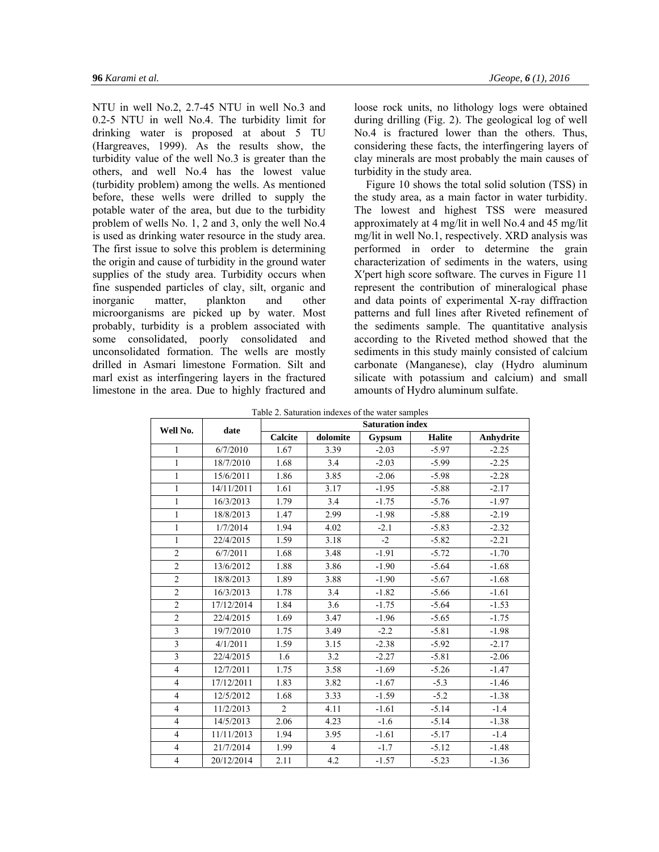NTU in well No.2, 2.7-45 NTU in well No.3 and 0.2-5 NTU in well No.4. The turbidity limit for drinking water is proposed at about 5 TU (Hargreaves, 1999). As the results show, the turbidity value of the well No.3 is greater than the others, and well No.4 has the lowest value (turbidity problem) among the wells. As mentioned before, these wells were drilled to supply the potable water of the area, but due to the turbidity problem of wells No. 1, 2 and 3, only the well No.4 is used as drinking water resource in the study area. The first issue to solve this problem is determining the origin and cause of turbidity in the ground water supplies of the study area. Turbidity occurs when fine suspended particles of clay, silt, organic and inorganic matter, plankton and other microorganisms are picked up by water. Most probably, turbidity is a problem associated with some consolidated, poorly consolidated and unconsolidated formation. The wells are mostly drilled in Asmari limestone Formation. Silt and marl exist as interfingering layers in the fractured limestone in the area. Due to highly fractured and

loose rock units, no lithology logs were obtained during drilling (Fig. 2). The geological log of well No.4 is fractured lower than the others. Thus, considering these facts, the interfingering layers of clay minerals are most probably the main causes of turbidity in the study area.

Figure 10 shows the total solid solution (TSS) in the study area, as a main factor in water turbidity. The lowest and highest TSS were measured approximately at 4 mg/lit in well No.4 and 45 mg/lit mg/lit in well No.1, respectively. XRD analysis was performed in order to determine the grain characterization of sediments in the waters, using X′pert high score software. The curves in Figure 11 represent the contribution of mineralogical phase and data points of experimental X-ray diffraction patterns and full lines after Riveted refinement of the sediments sample. The quantitative analysis according to the Riveted method showed that the sediments in this study mainly consisted of calcium carbonate (Manganese), clay (Hydro aluminum silicate with potassium and calcium) and small amounts of Hydro aluminum sulfate.

| Well No.                | date       | <b>Saturation index</b> |                |         |               |           |  |  |
|-------------------------|------------|-------------------------|----------------|---------|---------------|-----------|--|--|
|                         |            | Calcite                 | dolomite       | Gypsum  | <b>Halite</b> | Anhydrite |  |  |
| 1                       | 6/7/2010   | 1.67                    | 3.39           | $-2.03$ | $-5.97$       | $-2.25$   |  |  |
| 1                       | 18/7/2010  | 1.68                    | 3.4            | $-2.03$ | $-5.99$       | $-2.25$   |  |  |
| $\mathbf{1}$            | 15/6/2011  | 1.86                    | 3.85           | $-2.06$ | $-5.98$       | $-2.28$   |  |  |
| $\mathbf{1}$            | 14/11/2011 | 1.61                    | 3.17           | $-1.95$ | $-5.88$       | $-2.17$   |  |  |
| 1                       | 16/3/2013  | 1.79                    | 3.4            | $-1.75$ | $-5.76$       | $-1.97$   |  |  |
| $\mathbf{1}$            | 18/8/2013  | 1.47                    | 2.99           | $-1.98$ | $-5.88$       | $-2.19$   |  |  |
| $\mathbf{1}$            | 1/7/2014   | 1.94                    | 4.02           | $-2.1$  | $-5.83$       | $-2.32$   |  |  |
| $\mathbf{1}$            | 22/4/2015  | 1.59                    | 3.18           | $-2$    | $-5.82$       | $-2.21$   |  |  |
| $\overline{2}$          | 6/7/2011   | 1.68                    | 3.48           | $-1.91$ | $-5.72$       | $-1.70$   |  |  |
| $\overline{c}$          | 13/6/2012  | 1.88                    | 3.86           | $-1.90$ | $-5.64$       | $-1.68$   |  |  |
| $\overline{2}$          | 18/8/2013  | 1.89                    | 3.88           | $-1.90$ | $-5.67$       | $-1.68$   |  |  |
| $\overline{2}$          | 16/3/2013  | 1.78                    | 3.4            | $-1.82$ | $-5.66$       | $-1.61$   |  |  |
| $\overline{c}$          | 17/12/2014 | 1.84                    | 3.6            | $-1.75$ | $-5.64$       | $-1.53$   |  |  |
| $\overline{2}$          | 22/4/2015  | 1.69                    | 3.47           | $-1.96$ | $-5.65$       | $-1.75$   |  |  |
| 3                       | 19/7/2010  | 1.75                    | 3.49           | $-2.2$  | $-5.81$       | $-1.98$   |  |  |
| $\overline{\mathbf{3}}$ | 4/1/2011   | 1.59                    | 3.15           | $-2.38$ | $-5.92$       | $-2.17$   |  |  |
| 3                       | 22/4/2015  | 1.6                     | 3.2            | $-2.27$ | $-5.81$       | $-2.06$   |  |  |
| $\overline{4}$          | 12/7/2011  | 1.75                    | 3.58           | $-1.69$ | $-5.26$       | $-1.47$   |  |  |
| $\overline{4}$          | 17/12/2011 | 1.83                    | 3.82           | $-1.67$ | $-5.3$        | $-1.46$   |  |  |
| $\overline{4}$          | 12/5/2012  | 1.68                    | 3.33           | $-1.59$ | $-5.2$        | $-1.38$   |  |  |
| $\overline{4}$          | 11/2/2013  | $\overline{2}$          | 4.11           | $-1.61$ | $-5.14$       | $-1.4$    |  |  |
| $\overline{4}$          | 14/5/2013  | 2.06                    | 4.23           | $-1.6$  | $-5.14$       | $-1.38$   |  |  |
| $\overline{4}$          | 11/11/2013 | 1.94                    | 3.95           | $-1.61$ | $-5.17$       | $-1.4$    |  |  |
| $\overline{4}$          | 21/7/2014  | 1.99                    | $\overline{4}$ | $-1.7$  | $-5.12$       | $-1.48$   |  |  |
| $\overline{4}$          | 20/12/2014 | 2.11                    | 4.2            | $-1.57$ | $-5.23$       | $-1.36$   |  |  |

Table 2. Saturation indexes of the water samples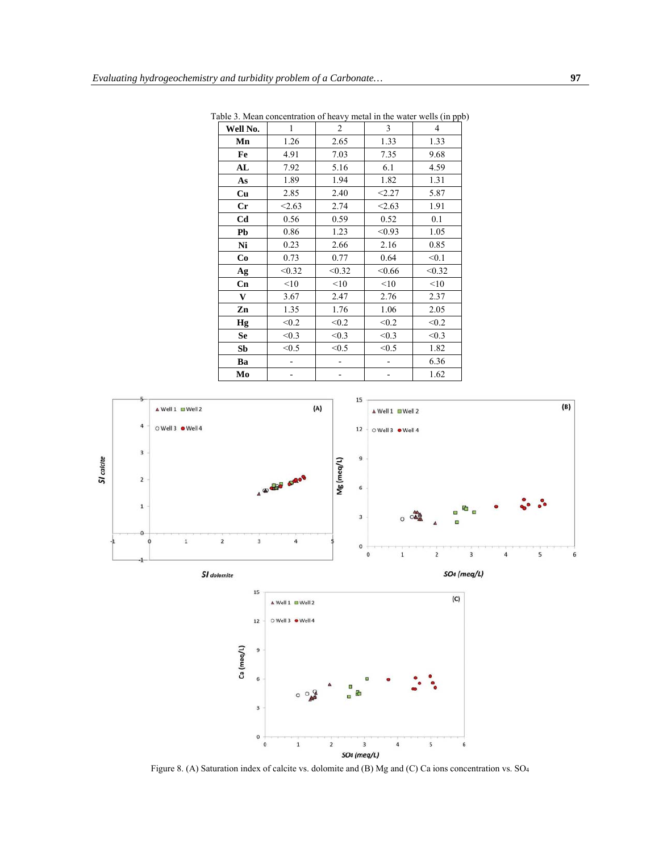| Well No.       | 1      | $\overline{c}$ | 3      | 4      |
|----------------|--------|----------------|--------|--------|
| Mn             | 1.26   | 2.65           | 1.33   | 1.33   |
| Fe             | 4.91   | 7.03           | 7.35   | 9.68   |
| AL             | 7.92   | 5.16           | 6.1    | 4.59   |
| As             | 1.89   | 1.94           | 1.82   | 1.31   |
| Cu             | 2.85   | 2.40           | < 2.27 | 5.87   |
| Cr             | < 2.63 | 2.74           | < 2.63 | 1.91   |
| C <sub>d</sub> | 0.56   | 0.59           | 0.52   | 0.1    |
| Pb             | 0.86   | 1.23           | < 0.93 | 1.05   |
| Ni             | 0.23   | 2.66           | 2.16   | 0.85   |
| Co             | 0.73   | 0.77           | 0.64   | < 0.1  |
| Ag             | < 0.32 | < 0.32         | < 0.66 | < 0.32 |
| Cn             | <10    | <10            | <10    | <10    |
| V              | 3.67   | 2.47           | 2.76   | 2.37   |
| Zn             | 1.35   | 1.76           | 1.06   | 2.05   |
| Hg             | < 0.2  | < 0.2          | < 0.2  | < 0.2  |
| <b>Se</b>      | < 0.3  | < 0.3          | < 0.3  | < 0.3  |
| Sb             | < 0.5  | < 0.5          | < 0.5  | 1.82   |
| Ba             |        |                |        | 6.36   |
| Mo             |        |                |        | 1.62   |

Table 3. Mean concentration of heavy metal in the water wells (in ppb)



Figure 8. (A) Saturation index of calcite vs. dolomite and (B) Mg and (C) Ca ions concentration vs. SO4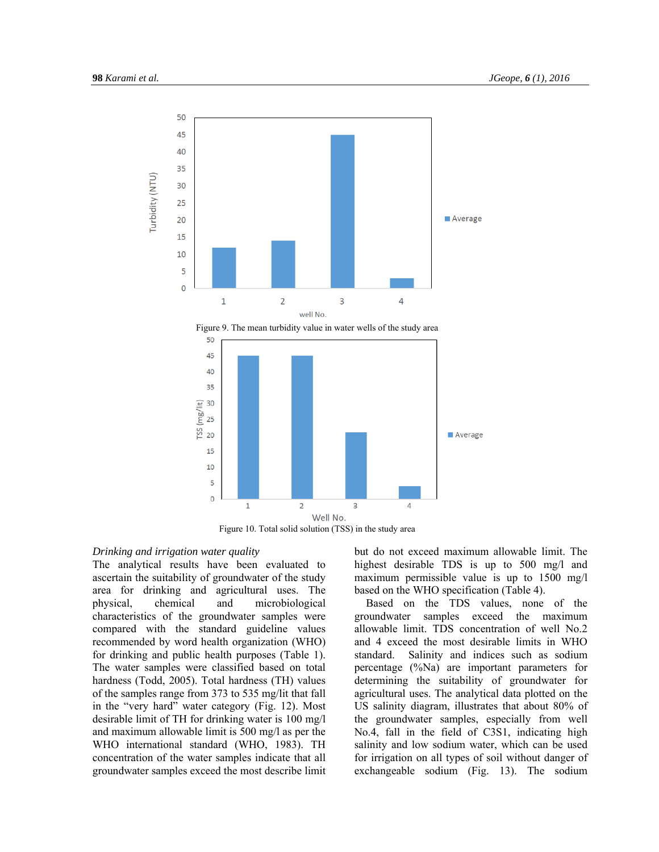





# *Drinking and irrigation water quality*

The analytical results have been evaluated to ascertain the suitability of groundwater of the study area for drinking and agricultural uses. The physical, chemical and microbiological characteristics of the groundwater samples were compared with the standard guideline values recommended by word health organization (WHO) for drinking and public health purposes (Table 1). The water samples were classified based on total hardness (Todd, 2005). Total hardness (TH) values of the samples range from 373 to 535 mg/lit that fall in the "very hard" water category (Fig. 12). Most desirable limit of TH for drinking water is 100 mg/l and maximum allowable limit is 500 mg/l as per the WHO international standard (WHO, 1983). TH concentration of the water samples indicate that all groundwater samples exceed the most describe limit but do not exceed maximum allowable limit. The highest desirable TDS is up to 500 mg/l and maximum permissible value is up to 1500 mg/l based on the WHO specification (Table 4).

Based on the TDS values, none of the groundwater samples exceed the maximum allowable limit. TDS concentration of well No.2 and 4 exceed the most desirable limits in WHO standard. Salinity and indices such as sodium percentage (%Na) are important parameters for determining the suitability of groundwater for agricultural uses. The analytical data plotted on the US salinity diagram, illustrates that about 80% of the groundwater samples, especially from well No.4, fall in the field of C3S1, indicating high salinity and low sodium water, which can be used for irrigation on all types of soil without danger of exchangeable sodium (Fig. 13). The sodium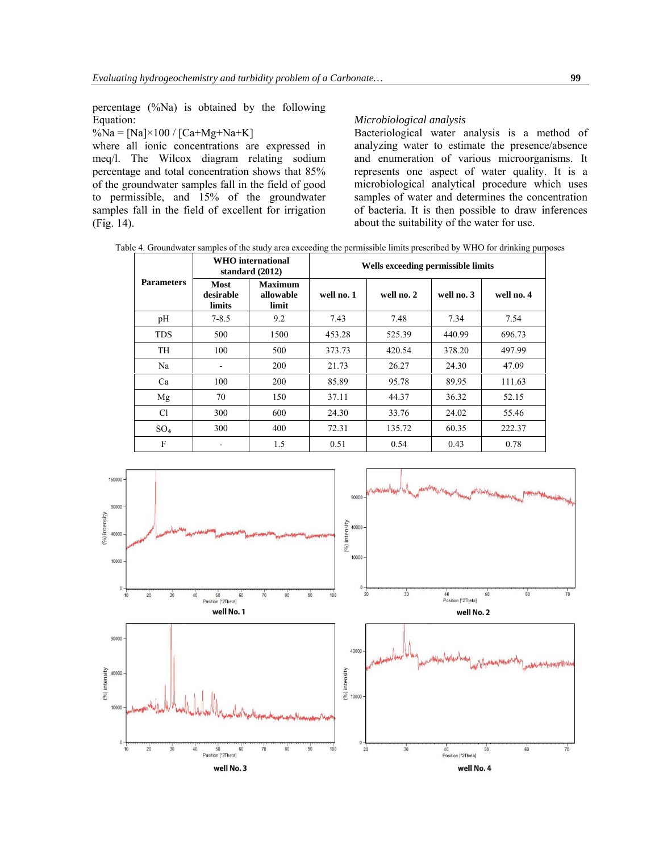$\%Na = [Na] \times 100 / [Ca + Mg + Na + K]$ 

where all ionic concentrations are expressed in meq/l. The Wilcox diagram relating sodium percentage and total concentration shows that 85% of the groundwater samples fall in the field of good to permissible, and 15% of the groundwater samples fall in the field of excellent for irrigation (Fig. 14).

# *Microbiological analysis*

Bacteriological water analysis is a method of analyzing water to estimate the presence/absence and enumeration of various microorganisms. It represents one aspect of water quality. It is a microbiological analytical procedure which uses samples of water and determines the concentration of bacteria. It is then possible to draw inferences about the suitability of the water for use.

Table 4. Groundwater samples of the study area exceeding the permissible limits prescribed by WHO for drinking purposes

|                   |                             | <b>WHO</b> international<br>standard $(2012)$ | Wells exceeding permissible limits |            |            |            |  |
|-------------------|-----------------------------|-----------------------------------------------|------------------------------------|------------|------------|------------|--|
| <b>Parameters</b> | Most<br>desirable<br>limits | <b>Maximum</b><br>allowable<br>limit          | well no. 1                         | well no. 2 | well no. 3 | well no. 4 |  |
| pH                | $7 - 8.5$                   | 9.2                                           | 7.43                               | 7.48       | 7.34       | 7.54       |  |
| <b>TDS</b>        | 500                         | 1500                                          | 453.28                             | 525.39     | 440.99     | 696.73     |  |
| <b>TH</b>         | 100                         | 500                                           | 373.73                             | 420.54     | 378.20     | 497.99     |  |
| Na                |                             | 200                                           | 21.73                              | 26.27      | 24.30      | 47.09      |  |
| Ca                | 100                         | 200                                           | 85.89                              | 95.78      | 89.95      | 111.63     |  |
| Mg                | 70                          | 150                                           | 37.11                              | 44.37      | 36.32      | 52.15      |  |
| Cl                | 300                         | 600                                           | 24.30                              | 33.76      | 24.02      | 55.46      |  |
| SO <sub>4</sub>   | 300                         | 400                                           | 72.31                              | 135.72     | 60.35      | 222.37     |  |
| F                 |                             | 1.5                                           | 0.51                               | 0.54       | 0.43       | 0.78       |  |

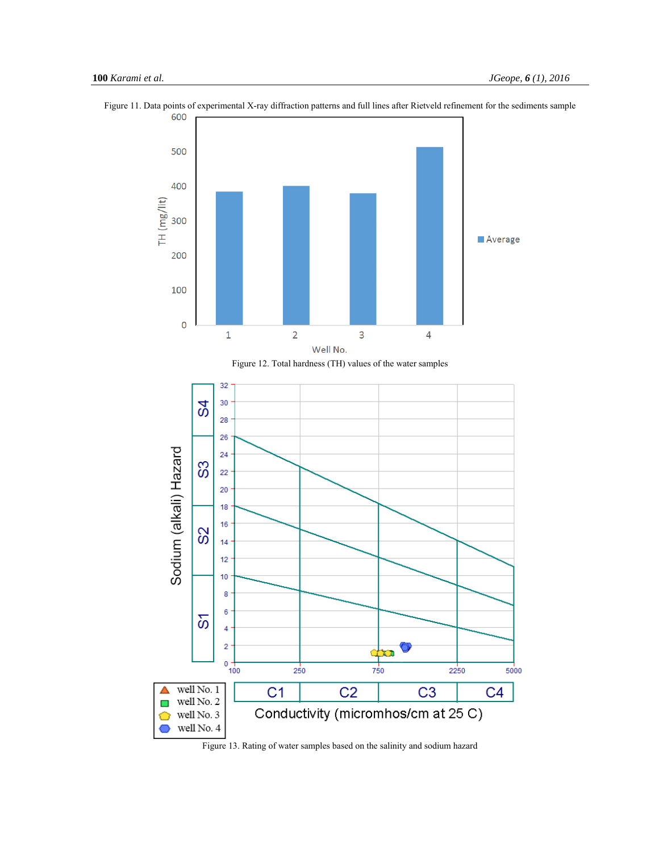

Figure 11. Data points of experimental X-ray diffraction patterns and full lines after Rietveld refinement for the sediments sample



Figure 13. Rating of water samples based on the salinity and sodium hazard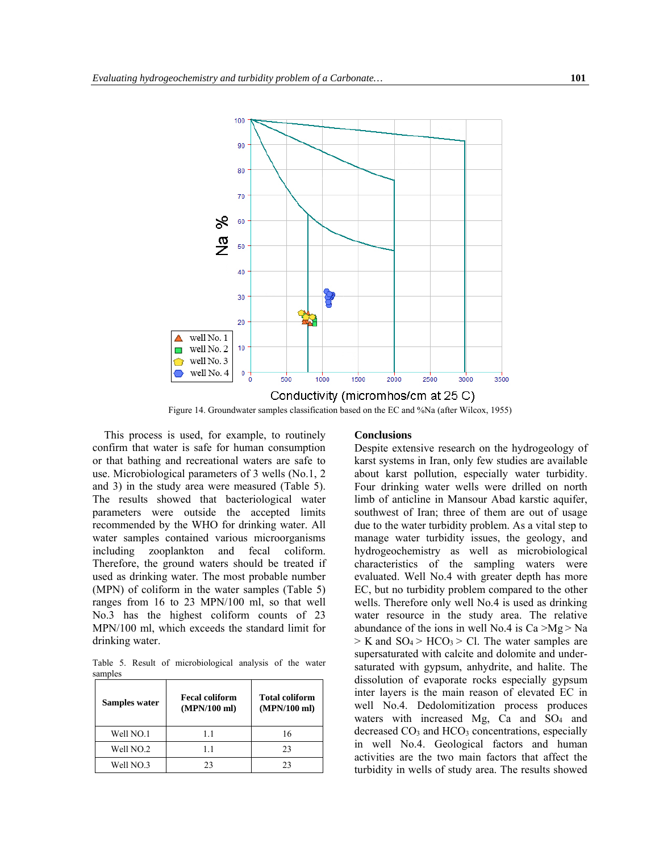

Figure 14. Groundwater samples classification based on the EC and %Na (after Wilcox, 1955)

This process is used, for example, to routinely confirm that water is safe for human consumption or that bathing and recreational waters are safe to use. Microbiological parameters of 3 wells (No.1, 2 and 3) in the study area were measured (Table 5). The results showed that bacteriological water parameters were outside the accepted limits recommended by the WHO for drinking water. All water samples contained various microorganisms including zooplankton and fecal coliform. Therefore, the ground waters should be treated if used as drinking water. The most probable number (MPN) of coliform in the water samples (Table 5) ranges from 16 to 23 MPN/100 ml, so that well No.3 has the highest coliform counts of 23 MPN/100 ml, which exceeds the standard limit for drinking water.

Table 5. Result of microbiological analysis of the water samples

| Samples water | <b>Fecal coliform</b><br>(MPN/100 ml) | <b>Total coliform</b><br>(MPN/100 ml) |
|---------------|---------------------------------------|---------------------------------------|
| Well NO.1     | 11                                    | 16                                    |
| Well NO.2     | 11                                    | 23                                    |
| Well NO.3     | 23                                    | 23                                    |

# **Conclusions**

Despite extensive research on the hydrogeology of karst systems in Iran, only few studies are available about karst pollution, especially water turbidity. Four drinking water wells were drilled on north limb of anticline in Mansour Abad karstic aquifer, southwest of Iran; three of them are out of usage due to the water turbidity problem. As a vital step to manage water turbidity issues, the geology, and hydrogeochemistry as well as microbiological characteristics of the sampling waters were evaluated. Well No.4 with greater depth has more EC, but no turbidity problem compared to the other wells. Therefore only well No.4 is used as drinking water resource in the study area. The relative abundance of the ions in well No.4 is  $Ca > Mg > Na$  $>$  K and SO<sub>4</sub> $>$  HCO<sub>3</sub> $>$  Cl. The water samples are supersaturated with calcite and dolomite and undersaturated with gypsum, anhydrite, and halite. The dissolution of evaporate rocks especially gypsum inter layers is the main reason of elevated EC in well No.4. Dedolomitization process produces waters with increased Mg, Ca and SO<sub>4</sub> and decreased CO<sub>3</sub> and HCO<sub>3</sub> concentrations, especially in well No.4. Geological factors and human activities are the two main factors that affect the turbidity in wells of study area. The results showed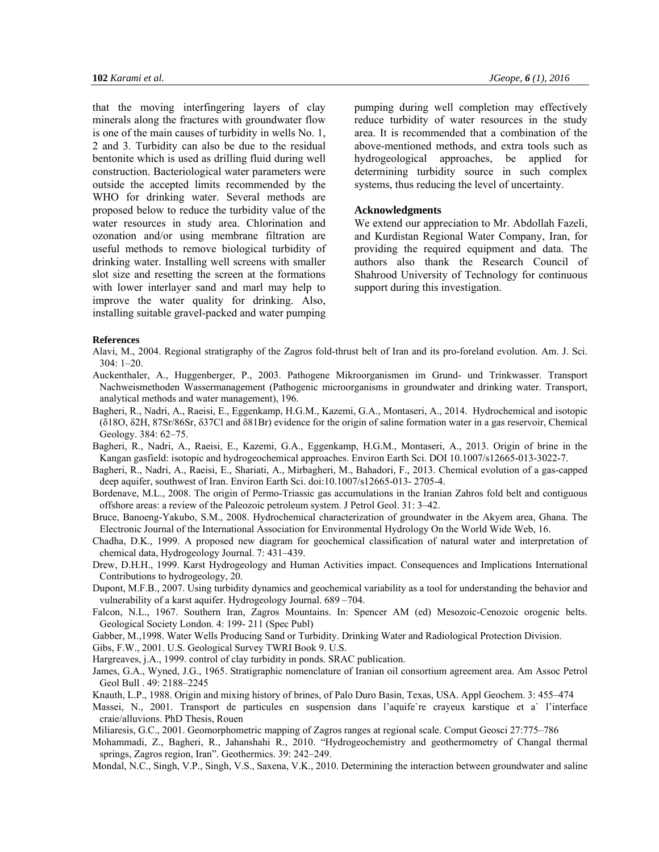that the moving interfingering layers of clay minerals along the fractures with groundwater flow is one of the main causes of turbidity in wells No. 1, 2 and 3. Turbidity can also be due to the residual bentonite which is used as drilling fluid during well construction. Bacteriological water parameters were outside the accepted limits recommended by the WHO for drinking water. Several methods are proposed below to reduce the turbidity value of the water resources in study area. Chlorination and ozonation and/or using membrane filtration are useful methods to remove biological turbidity of drinking water. Installing well screens with smaller slot size and resetting the screen at the formations with lower interlayer sand and marl may help to improve the water quality for drinking. Also, installing suitable gravel-packed and water pumping

pumping during well completion may effectively reduce turbidity of water resources in the study area. It is recommended that a combination of the above-mentioned methods, and extra tools such as hydrogeological approaches, be applied for determining turbidity source in such complex systems, thus reducing the level of uncertainty.

# **Acknowledgments**

We extend our appreciation to Mr. Abdollah Fazeli, and Kurdistan Regional Water Company, Iran, for providing the required equipment and data. The authors also thank the Research Council of Shahrood University of Technology for continuous support during this investigation.

#### **References**

- Alavi, M., 2004. Regional stratigraphy of the Zagros fold-thrust belt of Iran and its pro-foreland evolution. Am. J. Sci. 304: 1–20.
- Auckenthaler, A., Huggenberger, P., 2003. Pathogene Mikroorganismen im Grund- und Trinkwasser. Transport Nachweismethoden Wassermanagement (Pathogenic microorganisms in groundwater and drinking water. Transport, analytical methods and water management), 196.
- Bagheri, R., Nadri, A., Raeisi, E., Eggenkamp, H.G.M., Kazemi, G.A., Montaseri, A., 2014. Hydrochemical and isotopic (δ18O, δ2H, 87Sr/86Sr, δ37Cl and δ81Br) evidence for the origin of saline formation water in a gas reservoir, Chemical Geology. 384: 62–75.
- Bagheri, R., Nadri, A., Raeisi, E., Kazemi, G.A., Eggenkamp, H.G.M., Montaseri, A., 2013. Origin of brine in the Kangan gasfield: isotopic and hydrogeochemical approaches. Environ Earth Sci. DOI 10.1007/s12665-013-3022-7.
- Bagheri, R., Nadri, A., Raeisi, E., Shariati, A., Mirbagheri, M., Bahadori, F., 2013. Chemical evolution of a gas-capped deep aquifer, southwest of Iran. Environ Earth Sci. doi:10.1007/s12665-013- 2705-4.
- Bordenave, M.L., 2008. The origin of Permo-Triassic gas accumulations in the Iranian Zahros fold belt and contiguous offshore areas: a review of the Paleozoic petroleum system. J Petrol Geol. 31: 3–42.
- Bruce, Banoeng-Yakubo, S.M., 2008. Hydrochemical characterization of groundwater in the Akyem area, Ghana. The Electronic Journal of the International Association for Environmental Hydrology On the World Wide Web, 16.
- Chadha, D.K., 1999. A proposed new diagram for geochemical classification of natural water and interpretation of chemical data, Hydrogeology Journal. 7: 431–439.
- Drew, D.H.H., 1999. Karst Hydrogeology and Human Activities impact. Consequences and Implications International Contributions to hydrogeology, 20.
- Dupont, M.F.B., 2007. Using turbidity dynamics and geochemical variability as a tool for understanding the behavior and vulnerability of a karst aquifer. Hydrogeology Journal. 689 –704.
- Falcon, N.L., 1967. Southern Iran, Zagros Mountains. In: Spencer AM (ed) Mesozoic-Cenozoic orogenic belts. Geological Society London. 4: 199- 211 (Spec Publ)
- Gabber, M.,1998. Water Wells Producing Sand or Turbidity. Drinking Water and Radiological Protection Division.

Gibs, F.W., 2001. U.S. Geological Survey TWRI Book 9. U.S.

Hargreaves, j.A., 1999. control of clay turbidity in ponds. SRAC publication.

- James, G.A., Wyned, J.G., 1965. Stratigraphic nomenclature of Iranian oil consortium agreement area. Am Assoc Petrol Geol Bull . 49: 2188–2245
- Knauth, L.P., 1988. Origin and mixing history of brines, of Palo Duro Basin, Texas, USA. Appl Geochem. 3: 455–474
- Massei, N., 2001. Transport de particules en suspension dans l'aquife`re crayeux karstique et a` l'interface craie/alluvions. PhD Thesis, Rouen
- Miliaresis, G.C., 2001. Geomorphometric mapping of Zagros ranges at regional scale. Comput Geosci 27:775–786
- Mohammadi, Z., Bagheri, R., Jahanshahi R., 2010. "Hydrogeochemistry and geothermometry of Changal thermal springs, Zagros region, Iran". Geothermics. 39: 242–249.
- Mondal, N.C., Singh, V.P., Singh, V.S., Saxena, V.K., 2010. Determining the interaction between groundwater and saline